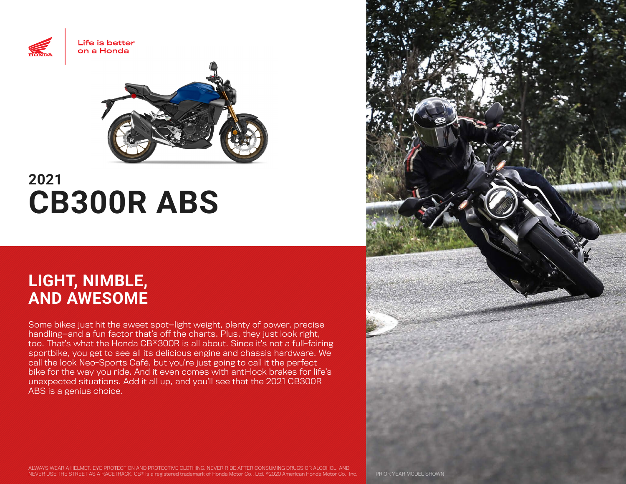



# **2021 CB300R ABS**

# **LIGHT, NIMBLE, AND AWESOME**

Some bikes just hit the sweet spot—light weight, plenty of power, precise handling—and a fun factor that's off the charts. Plus, they just look right, too. That's what the Honda CB®300R is all about. Since it's not a full-fairing sportbike, you get to see all its delicious engine and chassis hardware. We call the look Neo-Sports Café, but you're just going to call it the perfect bike for the way you ride. And it even comes with anti-lock brakes for life's unexpected situations. Add it all up, and you'll see that the 2021 CB300R ABS is a genius choice.

ALWAYS WEAR A HELMET, EYE PROTECTION AND PROTECTIVE CLOTHING. NEVER RIDE AFTER CONSUMING DRUGS OR ALCOHOL, AND NEVER USE THE STREET AS A RACETRACK. CB® is a registered trademark of Honda Motor Co., Ltd. ©2020 American Honda Motor Co., Inc. PRIOR YEAR MODEL SHOWN